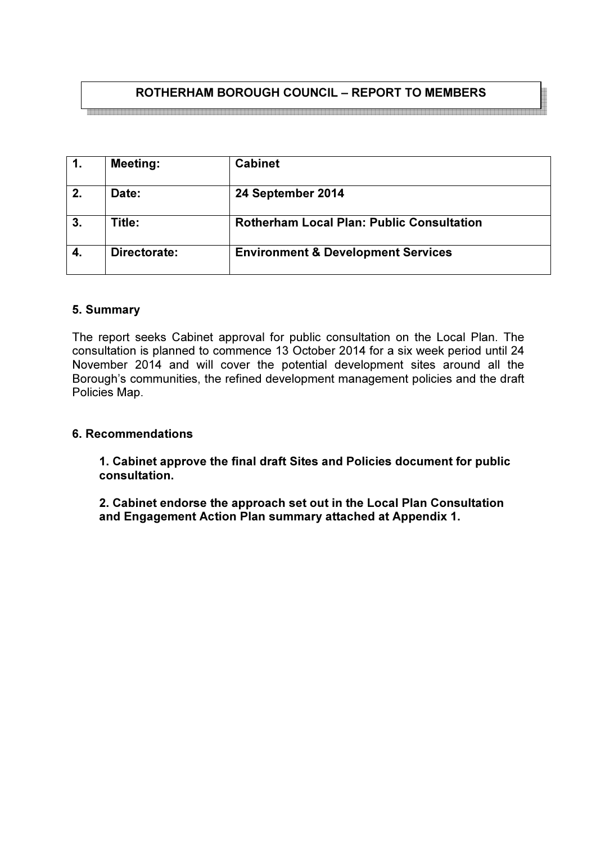# ROTHERHAM BOROUGH COUNCIL – REPORT TO MEMBERS

|    | <b>Meeting:</b> | <b>Cabinet</b>                                   |
|----|-----------------|--------------------------------------------------|
| 2. | Date:           | 24 September 2014                                |
| 3. | Title:          | <b>Rotherham Local Plan: Public Consultation</b> |
| 4. | Directorate:    | <b>Environment &amp; Development Services</b>    |

#### 5. Summary

The report seeks Cabinet approval for public consultation on the Local Plan. The consultation is planned to commence 13 October 2014 for a six week period until 24 November 2014 and will cover the potential development sites around all the Borough's communities, the refined development management policies and the draft Policies Map.

#### 6. Recommendations

 1. Cabinet approve the final draft Sites and Policies document for public consultation.

 2. Cabinet endorse the approach set out in the Local Plan Consultation and Engagement Action Plan summary attached at Appendix 1.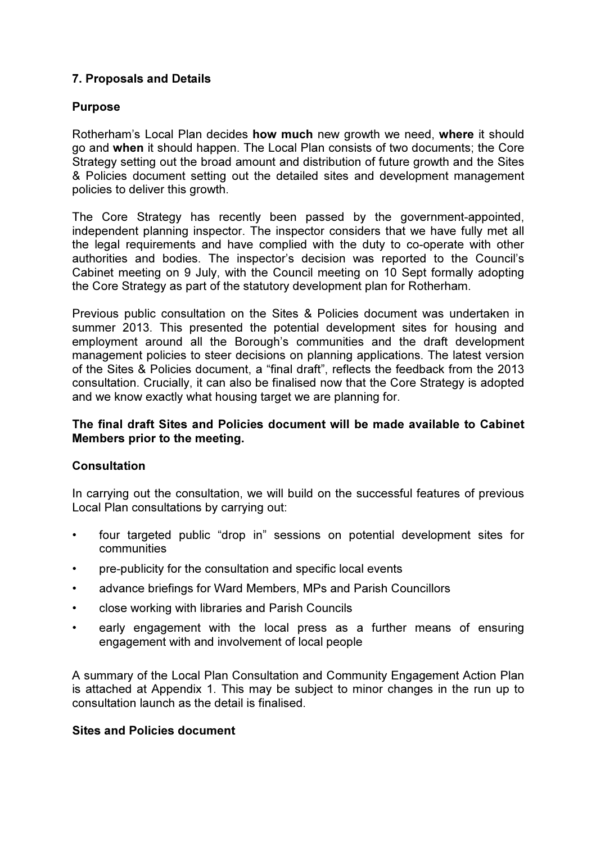## 7. Proposals and Details

## Purpose

Rotherham's Local Plan decides how much new growth we need, where it should go and when it should happen. The Local Plan consists of two documents; the Core Strategy setting out the broad amount and distribution of future growth and the Sites & Policies document setting out the detailed sites and development management policies to deliver this growth.

The Core Strategy has recently been passed by the government-appointed, independent planning inspector. The inspector considers that we have fully met all the legal requirements and have complied with the duty to co-operate with other authorities and bodies. The inspector's decision was reported to the Council's Cabinet meeting on 9 July, with the Council meeting on 10 Sept formally adopting the Core Strategy as part of the statutory development plan for Rotherham.

Previous public consultation on the Sites & Policies document was undertaken in summer 2013. This presented the potential development sites for housing and employment around all the Borough's communities and the draft development management policies to steer decisions on planning applications. The latest version of the Sites & Policies document, a "final draft", reflects the feedback from the 2013 consultation. Crucially, it can also be finalised now that the Core Strategy is adopted and we know exactly what housing target we are planning for.

## The final draft Sites and Policies document will be made available to Cabinet Members prior to the meeting.

#### Consultation

In carrying out the consultation, we will build on the successful features of previous Local Plan consultations by carrying out:

- four targeted public "drop in" sessions on potential development sites for communities
- pre-publicity for the consultation and specific local events
- advance briefings for Ward Members, MPs and Parish Councillors
- close working with libraries and Parish Councils
- early engagement with the local press as a further means of ensuring engagement with and involvement of local people

A summary of the Local Plan Consultation and Community Engagement Action Plan is attached at Appendix 1. This may be subject to minor changes in the run up to consultation launch as the detail is finalised.

#### Sites and Policies document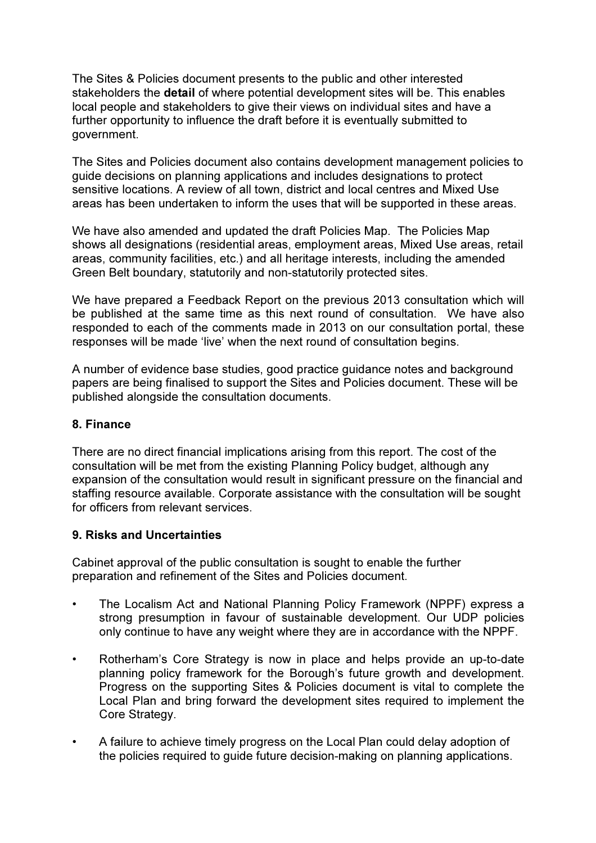The Sites & Policies document presents to the public and other interested stakeholders the detail of where potential development sites will be. This enables local people and stakeholders to give their views on individual sites and have a further opportunity to influence the draft before it is eventually submitted to government.

The Sites and Policies document also contains development management policies to guide decisions on planning applications and includes designations to protect sensitive locations. A review of all town, district and local centres and Mixed Use areas has been undertaken to inform the uses that will be supported in these areas.

We have also amended and updated the draft Policies Map. The Policies Map shows all designations (residential areas, employment areas, Mixed Use areas, retail areas, community facilities, etc.) and all heritage interests, including the amended Green Belt boundary, statutorily and non-statutorily protected sites.

We have prepared a Feedback Report on the previous 2013 consultation which will be published at the same time as this next round of consultation. We have also responded to each of the comments made in 2013 on our consultation portal, these responses will be made 'live' when the next round of consultation begins.

A number of evidence base studies, good practice guidance notes and background papers are being finalised to support the Sites and Policies document. These will be published alongside the consultation documents.

#### 8. Finance

There are no direct financial implications arising from this report. The cost of the consultation will be met from the existing Planning Policy budget, although any expansion of the consultation would result in significant pressure on the financial and staffing resource available. Corporate assistance with the consultation will be sought for officers from relevant services.

#### 9. Risks and Uncertainties

Cabinet approval of the public consultation is sought to enable the further preparation and refinement of the Sites and Policies document.

- The Localism Act and National Planning Policy Framework (NPPF) express a strong presumption in favour of sustainable development. Our UDP policies only continue to have any weight where they are in accordance with the NPPF.
- Rotherham's Core Strategy is now in place and helps provide an up-to-date planning policy framework for the Borough's future growth and development. Progress on the supporting Sites & Policies document is vital to complete the Local Plan and bring forward the development sites required to implement the Core Strategy.
- A failure to achieve timely progress on the Local Plan could delay adoption of the policies required to guide future decision-making on planning applications.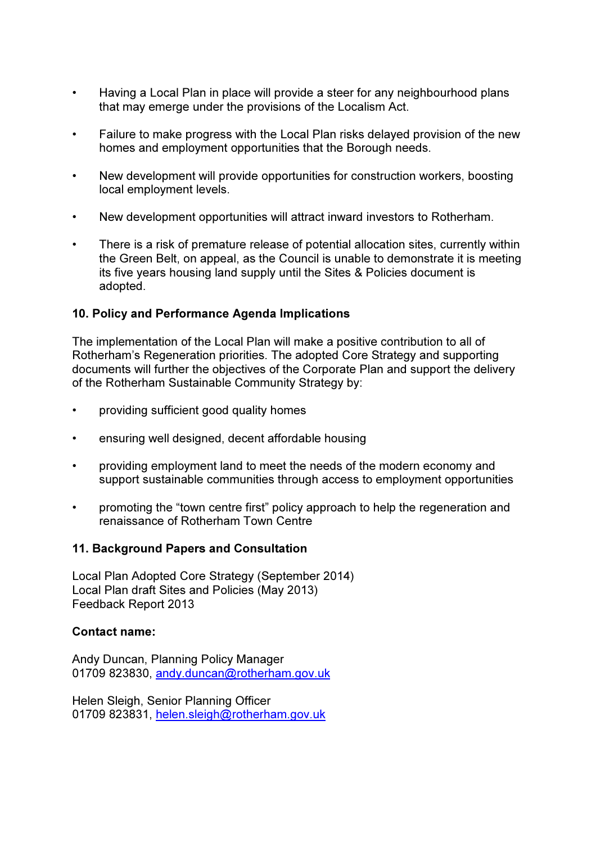- Having a Local Plan in place will provide a steer for any neighbourhood plans that may emerge under the provisions of the Localism Act.
- Failure to make progress with the Local Plan risks delayed provision of the new homes and employment opportunities that the Borough needs.
- New development will provide opportunities for construction workers, boosting local employment levels.
- New development opportunities will attract inward investors to Rotherham.
- There is a risk of premature release of potential allocation sites, currently within the Green Belt, on appeal, as the Council is unable to demonstrate it is meeting its five years housing land supply until the Sites & Policies document is adopted.

## 10. Policy and Performance Agenda Implications

The implementation of the Local Plan will make a positive contribution to all of Rotherham's Regeneration priorities. The adopted Core Strategy and supporting documents will further the objectives of the Corporate Plan and support the delivery of the Rotherham Sustainable Community Strategy by:

- providing sufficient good quality homes
- ensuring well designed, decent affordable housing
- providing employment land to meet the needs of the modern economy and support sustainable communities through access to employment opportunities
- promoting the "town centre first" policy approach to help the regeneration and renaissance of Rotherham Town Centre

#### 11. Background Papers and Consultation

Local Plan Adopted Core Strategy (September 2014) Local Plan draft Sites and Policies (May 2013) Feedback Report 2013

#### Contact name:

Andy Duncan, Planning Policy Manager 01709 823830, andy.duncan@rotherham.gov.uk

Helen Sleigh, Senior Planning Officer 01709 823831, helen.sleigh@rotherham.gov.uk